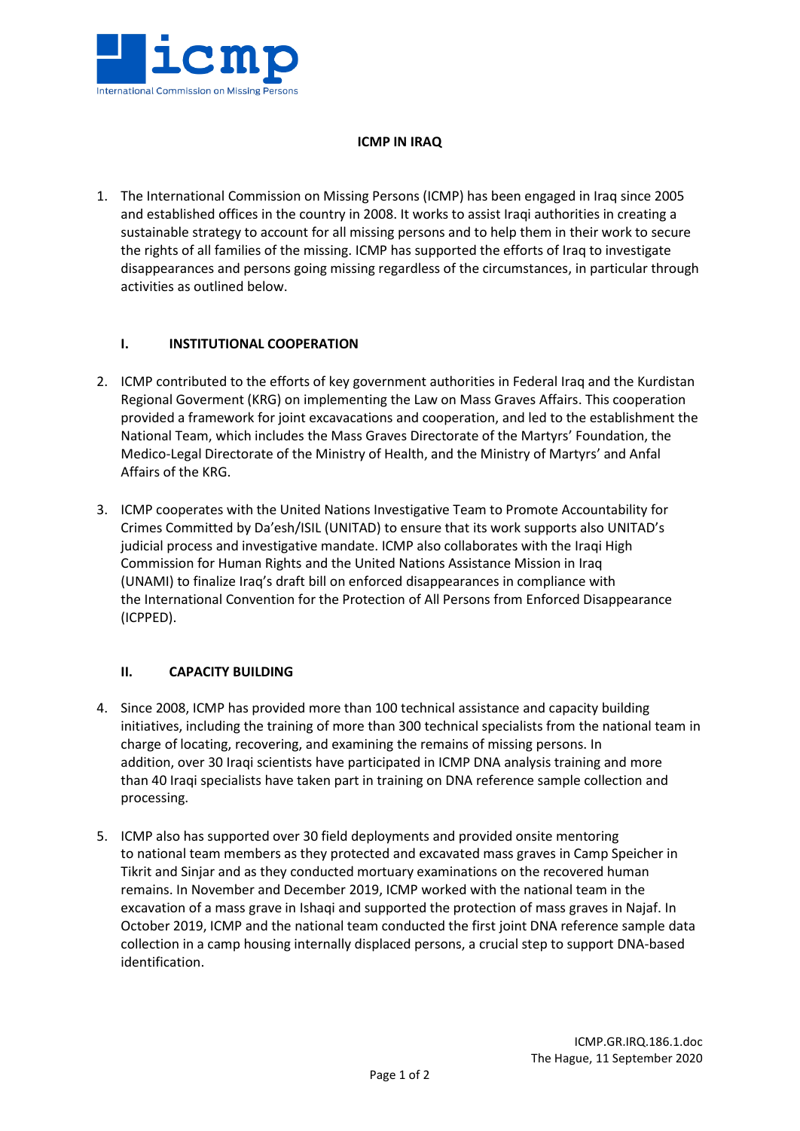

## **ICMP IN IRAQ**

1. The International Commission on Missing Persons (ICMP) has been engaged in Iraq since 2005 and established offices in the country in 2008. It works to assist Iraqi authorities in creating a sustainable strategy to account for all missing persons and to help them in their work to secure the rights of all families of the missing. ICMP has supported the efforts of Iraq to investigate disappearances and persons going missing regardless of the circumstances, in particular through activities as outlined below.

### **I. INSTITUTIONAL COOPERATION**

- 2. ICMP contributed to the efforts of key government authorities in Federal Iraq and the Kurdistan Regional Goverment (KRG) on implementing the Law on Mass Graves Affairs. This cooperation provided a framework for joint excavacations and cooperation, and led to the establishment the National Team, which includes the Mass Graves Directorate of the Martyrs' Foundation, the Medico-Legal Directorate of the Ministry of Health, and the Ministry of Martyrs' and Anfal Affairs of the KRG.
- 3. ICMP cooperates with the United Nations Investigative Team to Promote Accountability for Crimes Committed by Da'esh/ISIL (UNITAD) to ensure that its work supports also UNITAD's judicial process and investigative mandate. ICMP also collaborates with the Iraqi High Commission for Human Rights and the United Nations Assistance Mission in Iraq (UNAMI) to finalize Iraq's draft bill on enforced disappearances in compliance with the International Convention for the Protection of All Persons from Enforced Disappearance (ICPPED).

# **II. CAPACITY BUILDING**

- 4. Since 2008, ICMP has provided more than 100 technical assistance and capacity building initiatives, including the training of more than 300 technical specialists from the national team in charge of locating, recovering, and examining the remains of missing persons. In addition, over 30 Iraqi scientists have participated in ICMP DNA analysis training and more than 40 Iraqi specialists have taken part in training on DNA reference sample collection and processing.
- 5. ICMP also has supported over 30 field deployments and provided onsite mentoring to national team members as they protected and excavated mass graves in Camp Speicher in Tikrit and Sinjar and as they conducted mortuary examinations on the recovered human remains. In November and December 2019, ICMP worked with the national team in the excavation of a mass grave in Ishaqi and supported the protection of mass graves in Najaf. In October 2019, ICMP and the national team conducted the first joint DNA reference sample data collection in a camp housing internally displaced persons, a crucial step to support DNA-based identification.